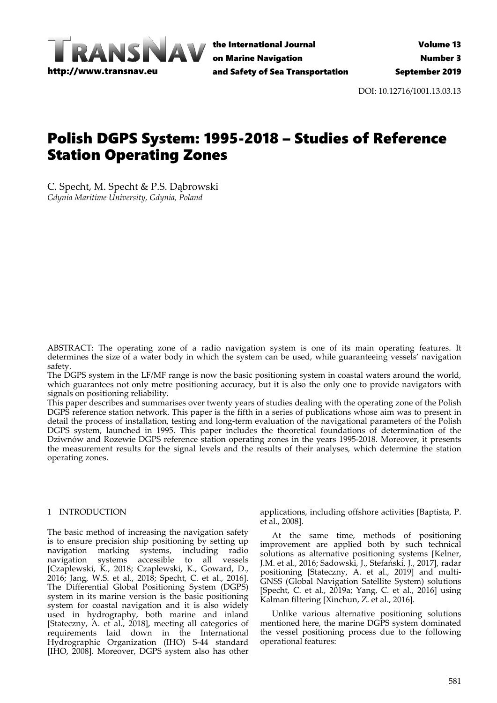

the International Journal on Marine Navigation and Safety of Sea Transportation

DOI: 10.12716/1001.13.03.13

# Polish DGPS System: 1995-2018 – Studies of Reference Station Operating Zones

C. Specht, M. Specht & P.S. Dąbrowski *Gdynia Maritime University, Gdynia, Poland*

ABSTRACT: The operating zone of a radio navigation system is one of its main operating features. It determines the size of a water body in which the system can be used, while guaranteeing vessels' navigation safety.

The DGPS system in the LF/MF range is now the basic positioning system in coastal waters around the world, which guarantees not only metre positioning accuracy, but it is also the only one to provide navigators with signals on positioning reliability.

This paper describes and summarises over twenty years of studies dealing with the operating zone of the Polish DGPS reference station network. This paper is the fifth in a series of publications whose aim was to present in detail the process of installation, testing and long‐term evaluation of the navigational parameters of the Polish DGPS system, launched in 1995. This paper includes the theoretical foundations of determination of the Dziwnów and Rozewie DGPS reference station operating zones in the years 1995-2018. Moreover, it presents the measurement results for the signal levels and the results of their analyses, which determine the station operating zones.

## 1 INTRODUCTION

The basic method of increasing the navigation safety is to ensure precision ship positioning by setting up navigation marking systems, including radio navigation systems accessible to all vessels [Czaplewski, K., 2018; Czaplewski, K., Goward, D., 2016; Jang, W.S. et al., 2018; Specht, C. et al., 2016]. The Differential Global Positioning System (DGPS) system in its marine version is the basic positioning system for coastal navigation and it is also widely used in hydrography, both marine and inland [Stateczny, A. et al., 2018], meeting all categories of requirements laid down in the International Hydrographic Organization (IHO) S‐44 standard [IHO, 2008]. Moreover, DGPS system also has other

applications, including offshore activities [Baptista, P. et al., 2008].

At the same time, methods of positioning improvement are applied both by such technical solutions as alternative positioning systems [Kelner, J.M. et al., 2016; Sadowski, J., Stefański, J., 2017], radar positioning [Stateczny, A. et al., 2019] and multi-GNSS (Global Navigation Satellite System) solutions [Specht, C. et al., 2019a; Yang, C. et al., 2016] using Kalman filtering [Xinchun, Z. et al., 2016].

Unlike various alternative positioning solutions mentioned here, the marine DGPS system dominated the vessel positioning process due to the following operational features: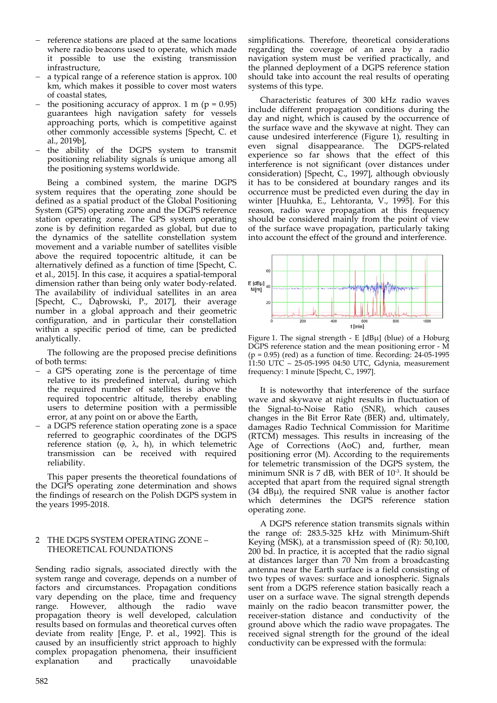- reference stations are placed at the same locations where radio beacons used to operate, which made it possible to use the existing transmission infrastructure,
- a typical range of a reference station is approx. 100 km, which makes it possible to cover most waters of coastal states,
- the positioning accuracy of approx. 1 m ( $p = 0.95$ ) guarantees high navigation safety for vessels approaching ports, which is competitive against other commonly accessible systems [Specht, C. et al., 2019b],
- the ability of the DGPS system to transmit positioning reliability signals is unique among all the positioning systems worldwide.

Being a combined system, the marine DGPS system requires that the operating zone should be defined as a spatial product of the Global Positioning System (GPS) operating zone and the DGPS reference station operating zone. The GPS system operating zone is by definition regarded as global, but due to the dynamics of the satellite constellation system movement and a variable number of satellites visible above the required topocentric altitude, it can be alternatively defined as a function of time [Specht, C. et al., 2015]. In this case, it acquires a spatial‐temporal dimension rather than being only water body-related. The availability of individual satellites in an area [Specht, C., Dąbrowski, P., 2017], their average number in a global approach and their geometric configuration, and in particular their constellation within a specific period of time, can be predicted analytically.

The following are the proposed precise definitions of both terms:

- a GPS operating zone is the percentage of time relative to its predefined interval, during which the required number of satellites is above the required topocentric altitude, thereby enabling users to determine position with a permissible error, at any point on or above the Earth,
- a DGPS reference station operating zone is a space referred to geographic coordinates of the DGPS reference station ( $\varphi$ ,  $\lambda$ , h), in which telemetric transmission can be received with required reliability.

This paper presents the theoretical foundations of the DGPS operating zone determination and shows the findings of research on the Polish DGPS system in the years 1995‐2018.

#### 2 THE DGPS SYSTEM OPERATING ZONE – THEORETICAL FOUNDATIONS

Sending radio signals, associated directly with the system range and coverage, depends on a number of factors and circumstances. Propagation conditions vary depending on the place, time and frequency range. However, although the radio wave propagation theory is well developed, calculation results based on formulas and theoretical curves often deviate from reality [Enge, P. et al., 1992]. This is caused by an insufficiently strict approach to highly complex propagation phenomena, their insufficient<br>explanation and practically unavoidable unavoidable

simplifications. Therefore, theoretical considerations regarding the coverage of an area by a radio navigation system must be verified practically, and the planned deployment of a DGPS reference station should take into account the real results of operating systems of this type.

Characteristic features of 300 kHz radio waves include different propagation conditions during the day and night, which is caused by the occurrence of the surface wave and the skywave at night. They can cause undesired interference (Figure 1), resulting in even signal disappearance. The DGPS‐related experience so far shows that the effect of this interference is not significant (over distances under consideration) [Specht, C., 1997], although obviously it has to be considered at boundary ranges and its occurrence must be predicted even during the day in winter [Huuhka, E., Lehtoranta, V., 1995]. For this reason, radio wave propagation at this frequency should be considered mainly from the point of view of the surface wave propagation, particularly taking into account the effect of the ground and interference.



Figure 1. The signal strength ‐ E [dBμ] (blue) of a Hoburg DGPS reference station and the mean positioning error ‐ M (p = 0.95) (red) as a function of time. Recording: 24‐05‐1995 11:50 UTC – 25‐05‐1995 04:50 UTC, Gdynia, measurement frequency: 1 minute [Specht, C., 1997].

It is noteworthy that interference of the surface wave and skywave at night results in fluctuation of the Signal‐to‐Noise Ratio (SNR), which causes changes in the Bit Error Rate (BER) and, ultimately, damages Radio Technical Commission for Maritime (RTCM) messages. This results in increasing of the Age of Corrections (AoC) and, further, mean positioning error (M). According to the requirements for telemetric transmission of the DGPS system, the minimum SNR is 7 dB, with BER of  $10^{-3}$ . It should be accepted that apart from the required signal strength  $(34$  dB $\mu$ ), the required SNR value is another factor which determines the DGPS reference station operating zone.

A DGPS reference station transmits signals within the range of: 283.5‐325 kHz with Minimum‐Shift Keying (MSK), at a transmission speed of (R): 50,100, 200 bd. In practice, it is accepted that the radio signal at distances larger than 70 Nm from a broadcasting antenna near the Earth surface is a field consisting of two types of waves: surface and ionospheric. Signals sent from a DGPS reference station basically reach a user on a surface wave. The signal strength depends mainly on the radio beacon transmitter power, the receiver‐station distance and conductivity of the ground above which the radio wave propagates. The received signal strength for the ground of the ideal conductivity can be expressed with the formula: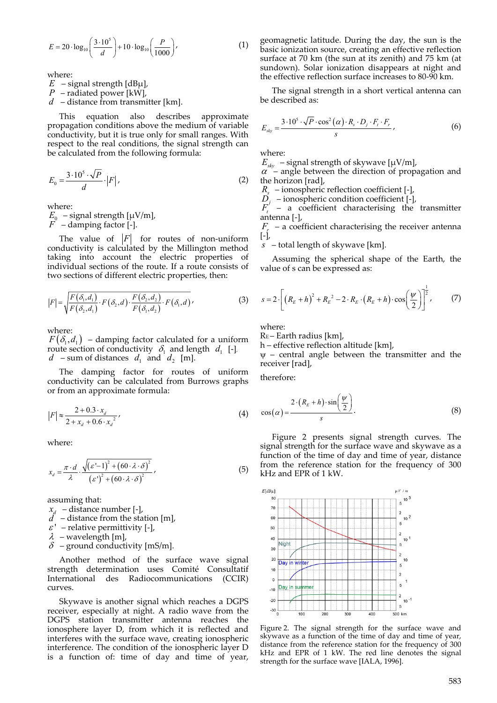$$
E = 20 \cdot \log_{10} \left( \frac{3 \cdot 10^5}{d} \right) + 10 \cdot \log_{10} \left( \frac{P}{1000} \right),\tag{1}
$$

where:

 $E$  – signal strength [dBµ],

*P* – radiated power [kW],

*d* – distance from transmitter [km].

This equation also describes approximate propagation conditions above the medium of variable conductivity, but it is true only for small ranges. With respect to the real conditions, the signal strength can be calculated from the following formula:

$$
E_0 = \frac{3 \cdot 10^5 \cdot \sqrt{P}}{d} \cdot |F| \,,\tag{2}
$$

where:

 $E_0$  – signal strength [ $\mu$ V/m],<br>*F* – damping factor [-]. *F* – damping factor [‐].

The value of  $|F|$  for routes of non-uniform conductivity is calculated by the Millington method taking into account the electric properties of individual sections of the route. If a route consists of two sections of different electric properties, then:

$$
|F| = \sqrt{\frac{F(\delta_1, d_1)}{F(\delta_2, d_1)} \cdot F(\delta_2, d) \cdot \frac{F(\delta_2, d_2)}{F(\delta_1, d_2)} \cdot F(\delta_1, d)},
$$
\n(3)

where:

 $F(\delta_1, d_1)$  – damping factor calculated for a uniform route section of conductivity  $\delta_1$  and length  $d_1$  [-],  $d$  – sum of distances  $d_1$  and  $d_2$  [m].

The damping factor for routes of uniform conductivity can be calculated from Burrows graphs or from an approximate formula:

$$
|F| \approx \frac{2 + 0.3 \cdot x_d}{2 + x_d + 0.6 \cdot x_d^2},
$$
\n(4)

where:

$$
x_{d} = \frac{\pi \cdot d}{\lambda} \cdot \frac{\sqrt{\left(\varepsilon - 1\right)^{2} + \left(60 \cdot \lambda \cdot \delta\right)^{2}}}{\left(\varepsilon\right)^{2} + \left(60 \cdot \lambda \cdot \delta\right)^{2}},\tag{5}
$$

assuming that:

*<sup>d</sup> x* – distance number [‐],

 $\overrightarrow{d}$  – distance from the station [m],

 $\varepsilon$ ' – relative permittivity [-],

 $\lambda$  – wavelength [m],

 $\delta$  – ground conductivity [mS/m].

Another method of the surface wave signal strength determination uses Comité Consultatif International des Radiocommunications (CCIR) curves.

Skywave is another signal which reaches a DGPS receiver, especially at night. A radio wave from the DGPS station transmitter antenna reaches the ionosphere layer D, from which it is reflected and interferes with the surface wave, creating ionospheric interference. The condition of the ionospheric layer D is a function of: time of day and time of year,

geomagnetic latitude. During the day, the sun is the basic ionization source, creating an effective reflection surface at 70 km (the sun at its zenith) and 75 km (at sundown). Solar ionization disappears at night and the effective reflection surface increases to 80‐90 km.

The signal strength in a short vertical antenna can be described as:

$$
E_{sky} = \frac{3 \cdot 10^5 \cdot \sqrt{P} \cdot \cos^2(\alpha) \cdot R_s \cdot D_j \cdot F_t \cdot F_r}{s},
$$
(6)

where:

 $E_{\rm sky}$  – signal strength of skywave [ $\mu$ V/m],

 $\alpha$  – angle between the direction of propagation and the horizon [rad],

*Rs* – ionospheric reflection coefficient [‐],

*Dj* – ionospheric condition coefficient [‐],

 $F_t$  – a coefficient characterising the transmitter antenna [‐],

 $F<sub>r</sub>$  – a coefficient characterising the receiver antenna [‐],

*s* – total length of skywave [km].

Assuming the spherical shape of the Earth, the value of s can be expressed as:

$$
s = 2 \cdot \left[ \left( R_E + h \right)^2 + R_E^2 - 2 \cdot R_E \cdot \left( R_E + h \right) \cdot \cos \left( \frac{\psi}{2} \right) \right]^{\frac{1}{2}},\tag{7}
$$

where:

 $R<sub>E</sub>$  – Earth radius [km],

h – effective reflection altitude [km],

 $\nu$  – central angle between the transmitter and the receiver [rad],

therefore:

$$
\cos(\alpha) = \frac{2 \cdot (R_E + h) \cdot \sin\left(\frac{\psi}{2}\right)}{s}.
$$
 (8)

Figure 2 presents signal strength curves. The signal strength for the surface wave and skywave as a function of the time of day and time of year, distance from the reference station for the frequency of 300 kHz and EPR of 1 kW.



Figure 2. The signal strength for the surface wave and skywave as a function of the time of day and time of year, distance from the reference station for the frequency of 300 kHz and EPR of 1 kW. The red line denotes the signal strength for the surface wave [IALA, 1996].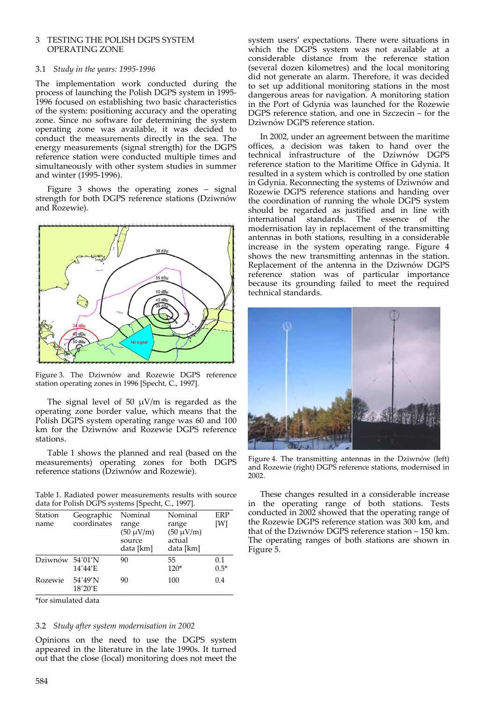## 3 TESTING THE POLISH DGPS SYSTEM OPERATING ZONE

### 3.1 *Study in the years: 1995‐1996*

The implementation work conducted during the process of launching the Polish DGPS system in 1995‐ 1996 focused on establishing two basic characteristics of the system: positioning accuracy and the operating zone. Since no software for determining the system operating zone was available, it was decided to conduct the measurements directly in the sea. The energy measurements (signal strength) for the DGPS reference station were conducted multiple times and simultaneously with other system studies in summer and winter (1995‐1996).

Figure 3 shows the operating zones – signal strength for both DGPS reference stations (Dziwnów and Rozewie).



Figure 3. The Dziwnów and Rozewie DGPS reference station operating zones in 1996 [Specht, C., 1997].

The signal level of 50  $\mu$ V/m is regarded as the operating zone border value, which means that the Polish DGPS system operating range was 60 and 100 km for the Dziwnów and Rozewie DGPS reference stations.

Table 1 shows the planned and real (based on the measurements) operating zones for both DGPS reference stations (Dziwnów and Rozewie).

Table 1. Radiated power measurements results with source data for Polish DGPS systems [Specht, C., 1997].

| Station         | Geographic                  | Nominal                                        | Nominal                                        | <b>ERP</b>    |
|-----------------|-----------------------------|------------------------------------------------|------------------------------------------------|---------------|
| name            | coordinates                 | range<br>$(50 \mu V/m)$<br>source<br>data [km] | range<br>$(50 \mu V/m)$<br>actual<br>data [km] | [W]           |
| Dziwnów 54°01'N | 14°44'E                     | 90                                             | 55<br>$120*$                                   | 0.1<br>$0.5*$ |
| Rozewie         | 54°49'N<br>$18^{\circ}20'E$ | 90                                             | 100                                            | 0.4           |

\*for simulated data

#### 3.2 *Study after system modernisation in 2002*

Opinions on the need to use the DGPS system appeared in the literature in the late 1990s. It turned out that the close (local) monitoring does not meet the

system users' expectations. There were situations in which the DGPS system was not available at a considerable distance from the reference station (several dozen kilometres) and the local monitoring did not generate an alarm. Therefore, it was decided to set up additional monitoring stations in the most dangerous areas for navigation. A monitoring station in the Port of Gdynia was launched for the Rozewie DGPS reference station, and one in Szczecin – for the Dziwnów DGPS reference station.

In 2002, under an agreement between the maritime offices, a decision was taken to hand over the technical infrastructure of the Dziwnów DGPS reference station to the Maritime Office in Gdynia. It resulted in a system which is controlled by one station in Gdynia. Reconnecting the systems of Dziwnów and Rozewie DGPS reference stations and handing over the coordination of running the whole DGPS system should be regarded as justified and in line with international standards. The essence of the modernisation lay in replacement of the transmitting antennas in both stations, resulting in a considerable increase in the system operating range. Figure 4 shows the new transmitting antennas in the station. Replacement of the antenna in the Dziwnów DGPS reference station was of particular importance because its grounding failed to meet the required technical standards.



Figure 4. The transmitting antennas in the Dziwnów (left) and Rozewie (right) DGPS reference stations, modernised in 2002.

These changes resulted in a considerable increase in the operating range of both stations. Tests conducted in 2002 showed that the operating range of the Rozewie DGPS reference station was 300 km, and that of the Dziwnów DGPS reference station – 150 km. The operating ranges of both stations are shown in Figure 5.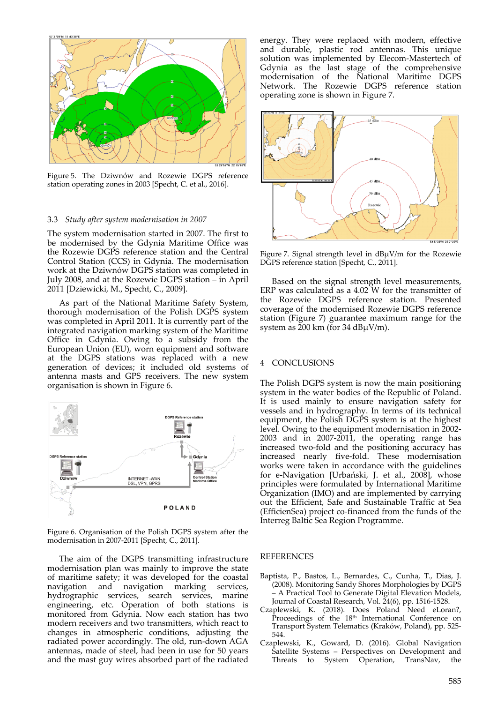

Figure 5. The Dziwnów and Rozewie DGPS reference station operating zones in 2003 [Specht, C. et al., 2016].

#### 3.3 *Study after system modernisation in 2007*

The system modernisation started in 2007. The first to be modernised by the Gdynia Maritime Office was the Rozewie DGPS reference station and the Central Control Station (CCS) in Gdynia. The modernisation work at the Dziwnów DGPS station was completed in July 2008, and at the Rozewie DGPS station – in April 2011 [Dziewicki, M., Specht, C., 2009].

As part of the National Maritime Safety System, thorough modernisation of the Polish DGPS system was completed in April 2011. It is currently part of the integrated navigation marking system of the Maritime Office in Gdynia. Owing to a subsidy from the European Union (EU), worn equipment and software at the DGPS stations was replaced with a new generation of devices; it included old systems of antenna masts and GPS receivers. The new system organisation is shown in Figure 6.



Figure 6. Organisation of the Polish DGPS system after the modernisation in 2007‐2011 [Specht, C., 2011].

The aim of the DGPS transmitting infrastructure modernisation plan was mainly to improve the state of maritime safety; it was developed for the coastal navigation and navigation marking services, hydrographic services, search services, marine engineering, etc. Operation of both stations is monitored from Gdynia. Now each station has two modern receivers and two transmitters, which react to changes in atmospheric conditions, adjusting the radiated power accordingly. The old, run‐down AGA antennas, made of steel, had been in use for 50 years and the mast guy wires absorbed part of the radiated

energy. They were replaced with modern, effective and durable, plastic rod antennas. This unique solution was implemented by Elecom‐Mastertech of Gdynia as the last stage of the comprehensive modernisation of the National Maritime DGPS Network. The Rozewie DGPS reference station operating zone is shown in Figure 7.



Figure 7. Signal strength level in dBμV/m for the Rozewie DGPS reference station [Specht, C., 2011].

Based on the signal strength level measurements, ERP was calculated as a 4.02 W for the transmitter of the Rozewie DGPS reference station. Presented coverage of the modernised Rozewie DGPS reference station (Figure 7) guarantee maximum range for the system as 200 km (for 34  $dB\mu V/m$ ).

#### 4 CONCLUSIONS

The Polish DGPS system is now the main positioning system in the water bodies of the Republic of Poland. It is used mainly to ensure navigation safety for vessels and in hydrography. In terms of its technical equipment, the Polish DGPS system is at the highest level. Owing to the equipment modernisation in 2002‐ 2003 and in 2007‐2011, the operating range has increased two‐fold and the positioning accuracy has increased nearly five‐fold. These modernisation works were taken in accordance with the guidelines for e‐Navigation [Urbański, J. et al., 2008], whose principles were formulated by International Maritime Organization (IMO) and are implemented by carrying out the Efficient, Safe and Sustainable Traffic at Sea (EfficienSea) project co‐financed from the funds of the Interreg Baltic Sea Region Programme.

#### REFERENCES

- Baptista, P., Bastos, L., Bernardes, C., Cunha, T., Dias, J. (2008). Monitoring Sandy Shores Morphologies by DGPS – A Practical Tool to Generate Digital Elevation Models, Journal of Coastal Research, Vol. 24(6), pp. 1516‐1528.
- Czaplewski, K. (2018). Does Poland Need eLoran?, Proceedings of the 18<sup>th</sup> International Conference on Transport System Telematics (Kraków, Poland), pp. 525‐ 544.
- Czaplewski, K., Goward, D. (2016). Global Navigation Satellite Systems – Perspectives on Development and Threats to System Operation, TransNav, the